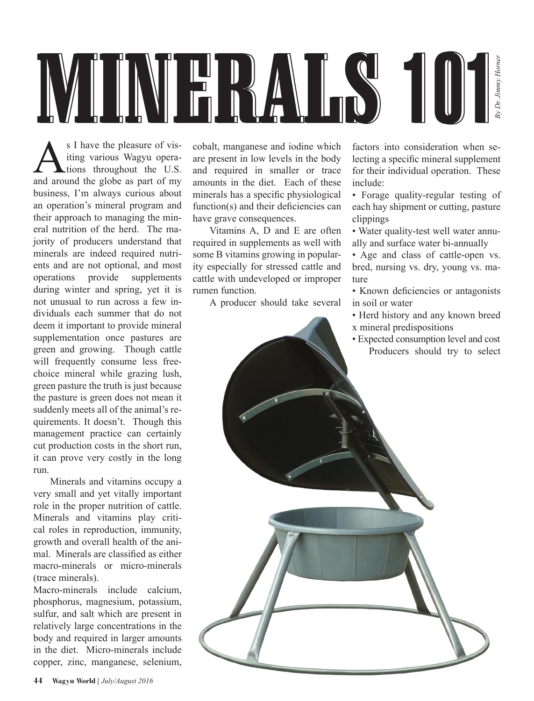

S I have the pleasure of vis-<br>iting various Wagyu opera-<br>tions throughout the U.S. iting various Wagyu operations throughout the U.S. and around the globe as part of my business, I'm always curious about an operation's mineral program and their approach to managing the mineral nutrition of the herd. The majority of producers understand that minerals are indeed required nutrients and are not optional, and most operations provide supplements during winter and spring, yet it is not unusual to run across a few individuals each summer that do not deem it important to provide mineral supplementation once pastures are green and growing. Though cattle will frequently consume less freechoice mineral while grazing lush, green pasture the truth is just because the pasture is green does not mean it suddenly meets all of the animal's requirements. It doesn't. Though this management practice can certainly cut production costs in the short run, it can prove very costly in the long run.

Minerals and vitamins occupy a very small and yet vitally important role in the proper nutrition of cattle. Minerals and vitamins play critical roles in reproduction, immunity, growth and overall health of the animal. Minerals are classified as either macro-minerals or micro-minerals (trace minerals).

Macro-minerals include calcium, phosphorus, magnesium, potassium, sulfur, and salt which are present in relatively large concentrations in the body and required in larger amounts in the diet. Micro-minerals include copper, zinc, manganese, selenium,

cobalt, manganese and iodine which are present in low levels in the body and required in smaller or trace amounts in the diet. Each of these minerals has a specific physiological function(s) and their deficiencies can have grave consequences.

Vitamins A, D and E are often required in supplements as well with some B vitamins growing in popularity especially for stressed cattle and cattle with undeveloped or improper rumen function.

A producer should take several

factors into consideration when selecting a specific mineral supplement for their individual operation. These include:

• Forage quality-regular testing of each hay shipment or cutting, pasture clippings

• Water quality-test well water annually and surface water bi-annually

• Age and class of cattle-open vs. bred, nursing vs. dry, young vs. mature

• Known deficiencies or antagonists in soil or water

• Herd history and any known breed x mineral predispositions

• Expected consumption level and cost